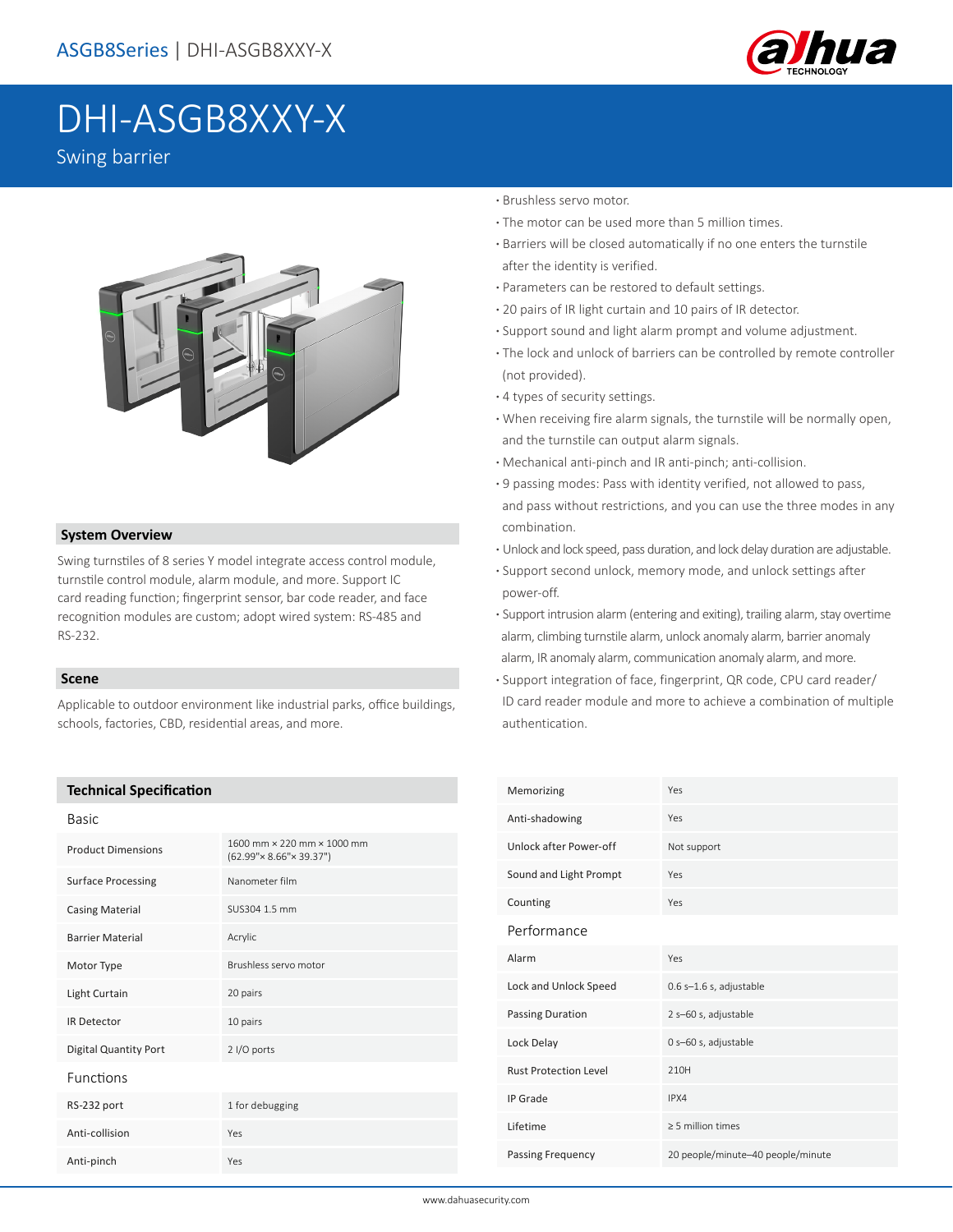

# DHI-ASGB8XXY-X

Swing barrier



## **System Overview**

Swing turnstiles of 8 series Y model integrate access control module, turnstile control module, alarm module, and more. Support IC card reading function; fingerprint sensor, bar code reader, and face recognition modules are custom; adopt wired system: RS-485 and RS-232.

## **Scene**

Applicable to outdoor environment like industrial parks, office buildings, schools, factories, CBD, residential areas, and more.

## **Technical Specification**

| Basic                        |                                                                     |  |
|------------------------------|---------------------------------------------------------------------|--|
| <b>Product Dimensions</b>    | 1600 mm × 220 mm × 1000 mm<br>$(62.99" \times 8.66" \times 39.37")$ |  |
| <b>Surface Processing</b>    | Nanometer film                                                      |  |
| <b>Casing Material</b>       | SUS304 1.5 mm                                                       |  |
| <b>Barrier Material</b>      | Acrylic                                                             |  |
| Motor Type                   | Brushless servo motor                                               |  |
| Light Curtain                | 20 pairs                                                            |  |
| <b>IR Detector</b>           | 10 pairs                                                            |  |
| <b>Digital Quantity Port</b> | 2 I/O ports                                                         |  |
| Functions                    |                                                                     |  |
| RS-232 port                  | 1 for debugging                                                     |  |
| Anti-collision               | Yes                                                                 |  |
| Anti-pinch                   | Yes                                                                 |  |

### **·** Brushless servo motor.

- **·** The motor can be used more than 5 million times.
- **·** Barriers will be closed automatically if no one enters the turnstile after the identity is verified.
- **·** Parameters can be restored to default settings.
- **·** 20 pairs of IR light curtain and 10 pairs of IR detector.
- **·** Support sound and light alarm prompt and volume adjustment.
- **·** The lock and unlock of barriers can be controlled by remote controller (not provided).
- **·** 4 types of security settings.
- **·** When receiving fire alarm signals, the turnstile will be normally open, and the turnstile can output alarm signals.
- **·** Mechanical anti-pinch and IR anti-pinch; anti-collision.
- **·** 9 passing modes: Pass with identity verified, not allowed to pass, and pass without restrictions, and you can use the three modes in any combination.
- **·** Unlock and lock speed, pass duration, and lock delay duration are adjustable.
- **·** Support second unlock, memory mode, and unlock settings after power-off.
- **·** Support intrusion alarm (entering and exiting), trailing alarm, stay overtime alarm, climbing turnstile alarm, unlock anomaly alarm, barrier anomaly alarm, IR anomaly alarm, communication anomaly alarm, and more.
- **·** Support integration of face, fingerprint, QR code, CPU card reader/ ID card reader module and more to achieve a combination of multiple authentication.

| Memorizing                   | Yes                               |
|------------------------------|-----------------------------------|
| Anti-shadowing               | Yes                               |
| Unlock after Power-off       | Not support                       |
| Sound and Light Prompt       | Yes                               |
| Counting                     | Yes                               |
| Performance                  |                                   |
| Alarm                        | Yes                               |
| Lock and Unlock Speed        | 0.6 s-1.6 s, adjustable           |
| <b>Passing Duration</b>      | 2 s-60 s, adjustable              |
| Lock Delay                   | 0 s-60 s, adjustable              |
| <b>Rust Protection Level</b> | 210H                              |
| IP Grade                     | IPX4                              |
| Lifetime                     | > 5 million times                 |
| Passing Frequency            | 20 people/minute-40 people/minute |